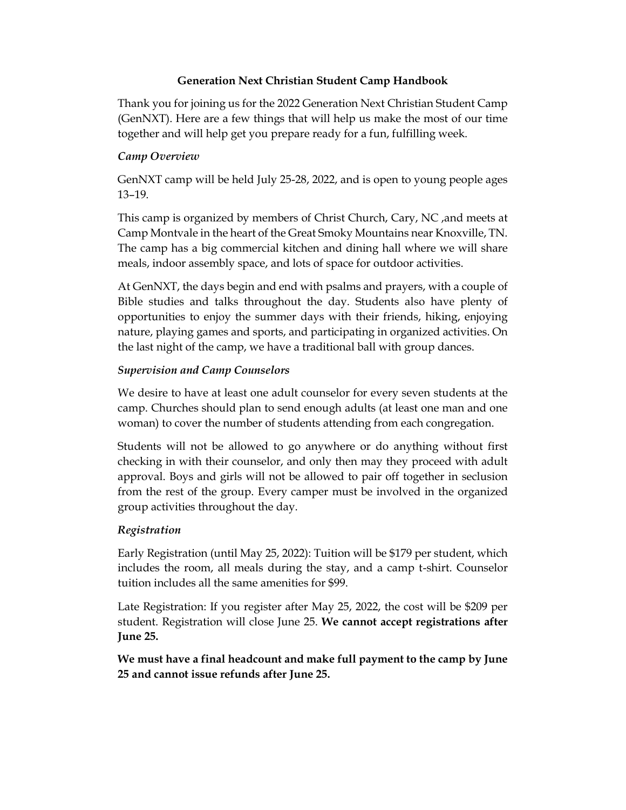## **Generation Next Christian Student Camp Handbook**

Thank you for joining us for the 2022 Generation Next Christian Student Camp (GenNXT). Here are a few things that will help us make the most of our time together and will help get you prepare ready for a fun, fulfilling week.

## *Camp Overview*

GenNXT camp will be held July 25-28, 2022, and is open to young people ages 13–19.

This camp is organized by members of Christ Church, Cary, NC ,and meets at Camp Montvale in the heart of the Great Smoky Mountains near Knoxville, TN. The camp has a big commercial kitchen and dining hall where we will share meals, indoor assembly space, and lots of space for outdoor activities.

At GenNXT, the days begin and end with psalms and prayers, with a couple of Bible studies and talks throughout the day. Students also have plenty of opportunities to enjoy the summer days with their friends, hiking, enjoying nature, playing games and sports, and participating in organized activities. On the last night of the camp, we have a traditional ball with group dances.

## *Supervision and Camp Counselors*

We desire to have at least one adult counselor for every seven students at the camp. Churches should plan to send enough adults (at least one man and one woman) to cover the number of students attending from each congregation.

Students will not be allowed to go anywhere or do anything without first checking in with their counselor, and only then may they proceed with adult approval. Boys and girls will not be allowed to pair off together in seclusion from the rest of the group. Every camper must be involved in the organized group activities throughout the day.

## *Registration*

Early Registration (until May 25, 2022): Tuition will be \$179 per student, which includes the room, all meals during the stay, and a camp t-shirt. Counselor tuition includes all the same amenities for \$99.

Late Registration: If you register after May 25, 2022, the cost will be \$209 per student. Registration will close June 25. **We cannot accept registrations after June 25.**

**We must have a final headcount and make full payment to the camp by June 25 and cannot issue refunds after June 25.**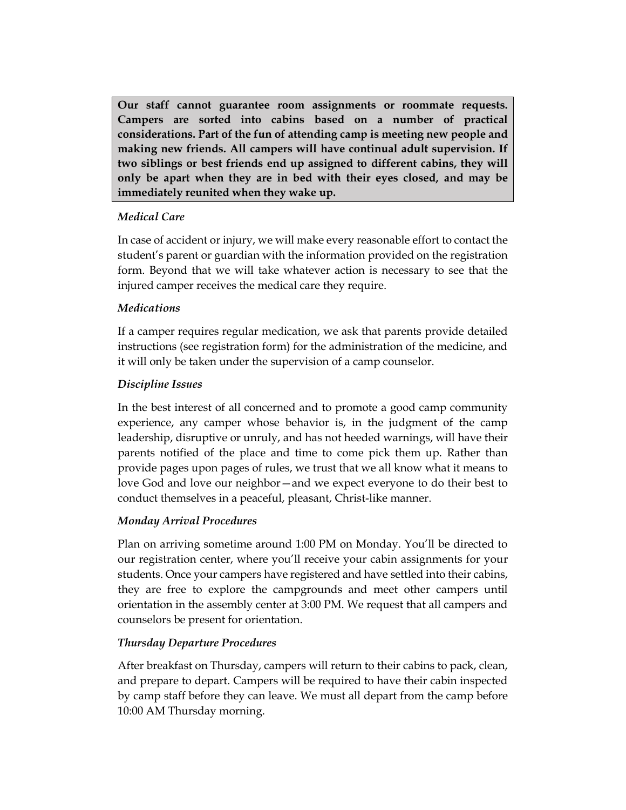**Our staff cannot guarantee room assignments or roommate requests. Campers are sorted into cabins based on a number of practical considerations. Part of the fun of attending camp is meeting new people and making new friends. All campers will have continual adult supervision. If two siblings or best friends end up assigned to different cabins, they will only be apart when they are in bed with their eyes closed, and may be immediately reunited when they wake up.**

# *Medical Care*

In case of accident or injury, we will make every reasonable effort to contact the student's parent or guardian with the information provided on the registration form. Beyond that we will take whatever action is necessary to see that the injured camper receives the medical care they require.

# *Medications*

If a camper requires regular medication, we ask that parents provide detailed instructions (see registration form) for the administration of the medicine, and it will only be taken under the supervision of a camp counselor.

# *Discipline Issues*

In the best interest of all concerned and to promote a good camp community experience, any camper whose behavior is, in the judgment of the camp leadership, disruptive or unruly, and has not heeded warnings, will have their parents notified of the place and time to come pick them up. Rather than provide pages upon pages of rules, we trust that we all know what it means to love God and love our neighbor—and we expect everyone to do their best to conduct themselves in a peaceful, pleasant, Christ-like manner.

# *Monday Arrival Procedures*

Plan on arriving sometime around 1:00 PM on Monday. You'll be directed to our registration center, where you'll receive your cabin assignments for your students. Once your campers have registered and have settled into their cabins, they are free to explore the campgrounds and meet other campers until orientation in the assembly center at 3:00 PM. We request that all campers and counselors be present for orientation.

# *Thursday Departure Procedures*

After breakfast on Thursday, campers will return to their cabins to pack, clean, and prepare to depart. Campers will be required to have their cabin inspected by camp staff before they can leave. We must all depart from the camp before 10:00 AM Thursday morning.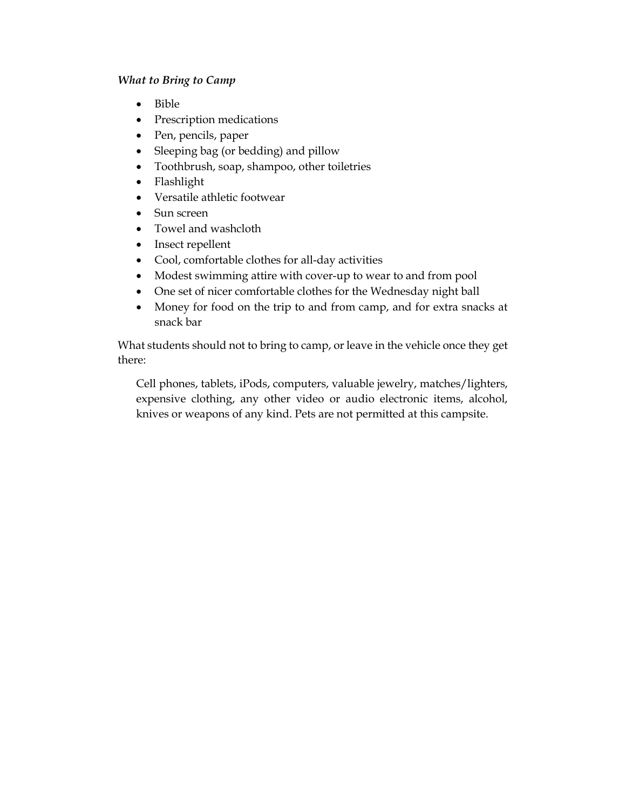#### *What to Bring to Camp*

- Bible
- Prescription medications
- Pen, pencils, paper
- Sleeping bag (or bedding) and pillow
- Toothbrush, soap, shampoo, other toiletries
- Flashlight
- Versatile athletic footwear
- Sun screen
- Towel and washcloth
- Insect repellent
- Cool, comfortable clothes for all-day activities
- Modest swimming attire with cover-up to wear to and from pool
- One set of nicer comfortable clothes for the Wednesday night ball
- Money for food on the trip to and from camp, and for extra snacks at snack bar

What students should not to bring to camp, or leave in the vehicle once they get there:

Cell phones, tablets, iPods, computers, valuable jewelry, matches/lighters, expensive clothing, any other video or audio electronic items, alcohol, knives or weapons of any kind. Pets are not permitted at this campsite.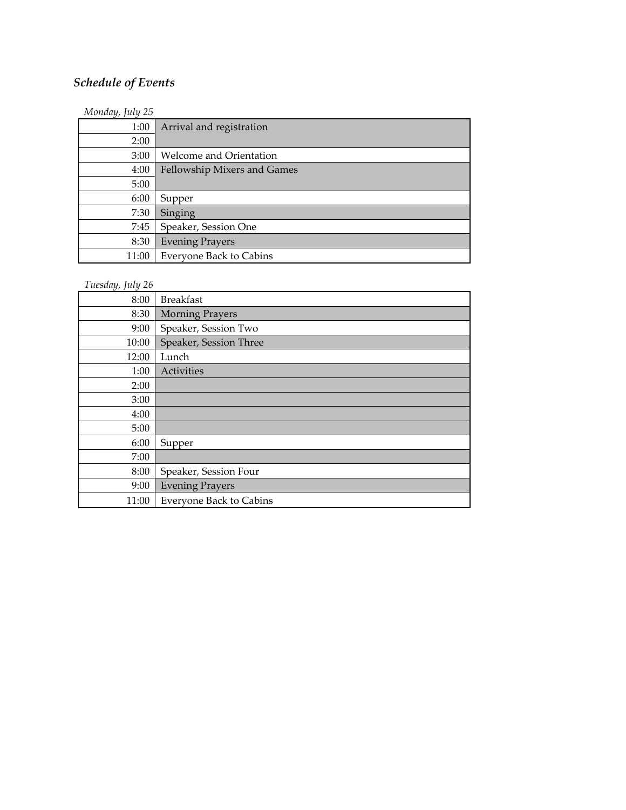# *Schedule of Events*

| Monday, July 25 |                                |
|-----------------|--------------------------------|
| 1:00            | Arrival and registration       |
| 2:00            |                                |
| 3:00            | <b>Welcome and Orientation</b> |
| 4:00            | Fellowship Mixers and Games    |
| 5:00            |                                |
| 6:00            | Supper                         |
| 7:30            | Singing                        |
| 7:45            | Speaker, Session One           |
| 8:30            | <b>Evening Prayers</b>         |
| 11:00           | <b>Everyone Back to Cabins</b> |

# *Tuesday, July 26*

| 8:00  | <b>Breakfast</b>               |
|-------|--------------------------------|
| 8:30  | <b>Morning Prayers</b>         |
| 9:00  | Speaker, Session Two           |
| 10:00 | Speaker, Session Three         |
| 12:00 | Lunch                          |
| 1:00  | Activities                     |
| 2:00  |                                |
| 3:00  |                                |
| 4:00  |                                |
| 5:00  |                                |
| 6:00  | Supper                         |
| 7:00  |                                |
| 8:00  | Speaker, Session Four          |
| 9:00  | <b>Evening Prayers</b>         |
| 11:00 | <b>Everyone Back to Cabins</b> |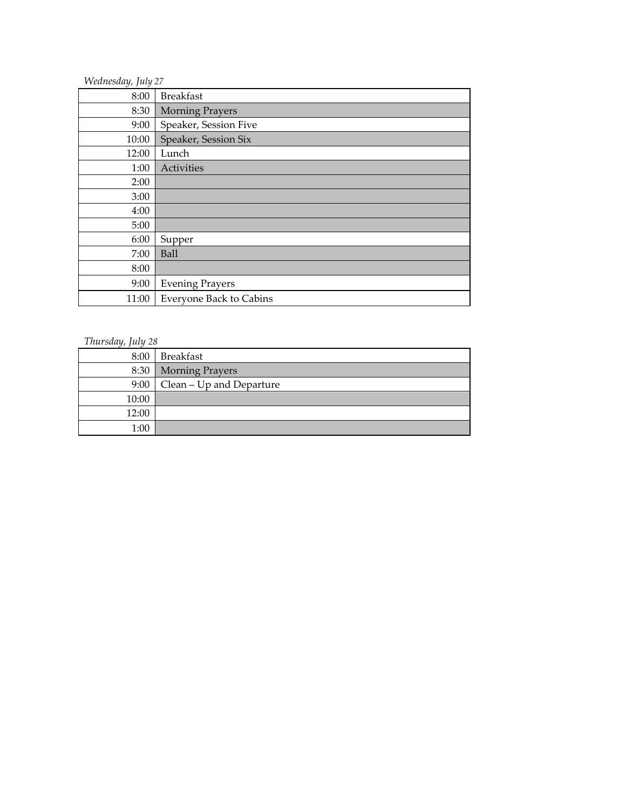| Wednesday, July 27 |                                |
|--------------------|--------------------------------|
| 8:00               | <b>Breakfast</b>               |
| 8:30               | <b>Morning Prayers</b>         |
| 9:00               | Speaker, Session Five          |
| 10:00              | Speaker, Session Six           |
| 12:00              | Lunch                          |
| 1:00               | Activities                     |
| 2:00               |                                |
| 3:00               |                                |
| 4:00               |                                |
| 5:00               |                                |
| 6:00               | Supper                         |
| 7:00               | <b>Ball</b>                    |
| 8:00               |                                |
| 9:00               | <b>Evening Prayers</b>         |
| 11:00              | <b>Everyone Back to Cabins</b> |

# *Thursday, July 28*

| 8:00  | Breakfast                |
|-------|--------------------------|
| 8:30  | <b>Morning Prayers</b>   |
| 9:00  | Clean – Up and Departure |
| 10:00 |                          |
| 12:00 |                          |
| 1:00  |                          |